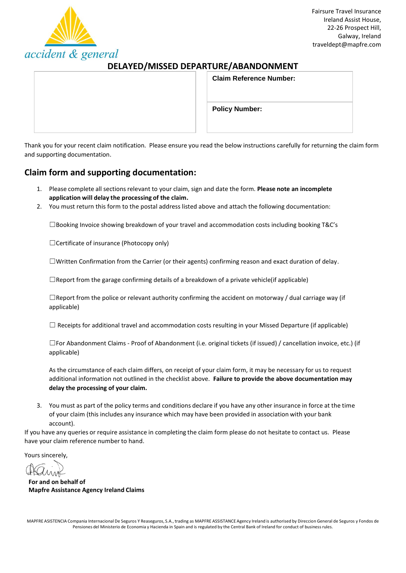

## **DELAYED/MISSED DEPARTURE/ABANDONMENT**

| <b>Claim Reference Number:</b> |  |
|--------------------------------|--|
|                                |  |
| <b>Policy Number:</b>          |  |
|                                |  |

Thank you for your recent claim notification. Please ensure you read the below instructions carefully for returning the claim form and supporting documentation.

## **Claim form and supporting documentation:**

- 1. Please complete all sections relevant to your claim, sign and date the form. **Please note an incomplete application will delay the processing of the claim.**
- 2. You must return this form to the postal address listed above and attach the following documentation:

 $\square$ Booking Invoice showing breakdown of your travel and accommodation costs including booking T&C's

☐Certificate of insurance (Photocopy only)

☐Written Confirmation from the Carrier (or their agents) confirming reason and exact duration of delay.

 $\Box$ Report from the garage confirming details of a breakdown of a private vehicle(if applicable)

 $\Box$ Report from the police or relevant authority confirming the accident on motorway / dual carriage way (if applicable)

 $\Box$  Receipts for additional travel and accommodation costs resulting in your Missed Departure (if applicable)

☐For Abandonment Claims - Proof of Abandonment (i.e. original tickets (if issued) / cancellation invoice, etc.) (if applicable)

As the circumstance of each claim differs, on receipt of your claim form, it may be necessary for us to request additional information not outlined in the checklist above. **Failure to provide the above documentation may delay the processing of your claim.**

3. You must as part of the policy terms and conditions declare if you have any other insurance in force at the time of your claim (this includes any insurance which may have been provided in association with your bank account).

If you have any queries or require assistance in completing the claim form please do not hesitate to contact us. Please have your claim reference number to hand.

Yours sincerely,

**For and on behalf of Mapfre Assistance Agency Ireland Claims**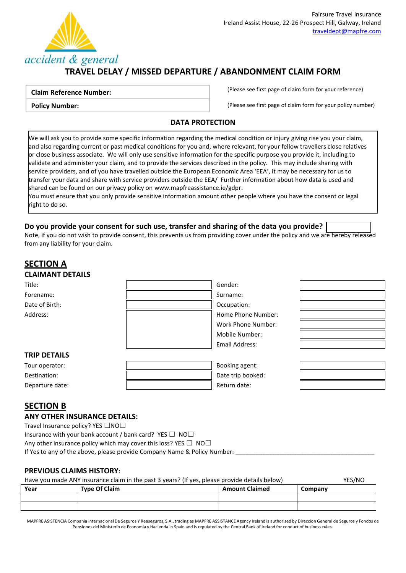

# **TRAVEL DELAY / MISSED DEPARTURE / ABANDONMENT CLAIM FORM**

### **Claim Reference Number:**

(Please see first page of claim form for your reference)

**Policy Number:**

(Please see first page of claim form for your policy number)

## **DATA PROTECTION**

We will ask you to provide some specific information regarding the medical condition or injury giving rise you your claim, and also regarding current or past medical conditions for you and, where relevant, for your fellow travellers close relatives or close business associate. We will only use sensitive information for the specific purpose you provide it, including to validate and administer your claim, and to provide the services described in the policy. This may include sharing with service providers, and of you have travelled outside the European Economic Area 'EEA', it may be necessary for us to transfer your data and share with service providers outside the EEA/ Further information about how data is used and shared can be found on our privacy policy o[n www.mapfreassistance.ie/gdpr.](http://www.mapfreassistance.ie/gdpr)

You must ensure that you only provide sensitive information amount other people where you have the consent or legal right to do so.

## **Do you provide your consent for such use, transfer and sharing of the data you provide?**

Note, if you do not wish to provide consent, this prevents us from providing cover under the policy and we are hereby released from any liability for your claim.

## **SECTION A CLAIMANT DETAILS** Title: Gender: Forename: Surname: Surname: Surname: Surname: Surname: Surname: Surname: Surname: Surname: Surname: Surname: Surname: Surname: Surname: Surname: Surname: Surname: Surname: Surname: Surname: Surname: Surname: Surname: Surna Date of Birth:  $\qquad \qquad \qquad$  Date of Birth: Address: Note and the Mumber: Note and the Mumber: Home Phone Number: Work Phone Number: Mobile Number: Email Address: **TRIP DETAILS** Tour operator: Booking agent: Destination: **Destination: Destination: Destination: Destination: Destination: Destination: Destination: Destination: Destination: Destination: Destination: Destination: Destination: Destination:**

## **SECTION B**

## **ANY OTHER INSURANCE DETAILS:**

Travel Insurance policy? YES □NO□

Insurance with your bank account / bank card? YES  $\Box$  NO $\Box$ 

Any other insurance policy which may cover this loss? YES  $\Box$  NO $\Box$ 

If Yes to any of the above, please provide Company Name & Policy Number:

Departure date:  $\qquad \qquad$  |  $\qquad \qquad$  Return date:

## **PREVIOUS CLAIMS HISTORY:**

## Have you made ANY insurance claim in the past 3 years? (If yes, please provide details below) YES/NO

| Year | <b>Type Of Claim</b> | <b>Amount Claimed</b> | Company |
|------|----------------------|-----------------------|---------|
|      |                      |                       |         |
|      |                      |                       |         |

MAPFRE ASISTENCIA Compania Internacional De Seguros Y Reaseguros, S.A., trading as MAPFRE ASSISTANCE Agency Ireland is authorised by Direccion General de Seguros y Fondos de Pensiones del Ministerio de Economia y Hacienda in Spain and is regulated by the Central Bank of Ireland for conduct of business rules.